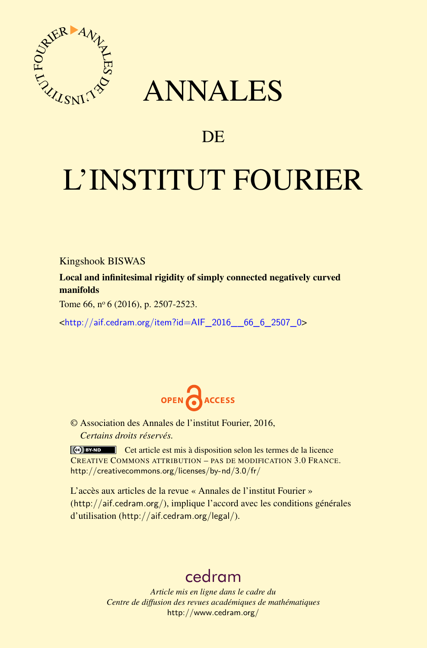

## ANNALES

### **DE**

# L'INSTITUT FOURIER

Kingshook BISWAS

Local and infinitesimal rigidity of simply connected negatively curved manifolds

Tome 66, nº 6 (2016), p. 2507-2523.

<[http://aif.cedram.org/item?id=AIF\\_2016\\_\\_66\\_6\\_2507\\_0](http://aif.cedram.org/item?id=AIF_2016__66_6_2507_0)>



© Association des Annales de l'institut Fourier, 2016, *Certains droits réservés.*

Cet article est mis à disposition selon les termes de la licence CREATIVE COMMONS ATTRIBUTION – PAS DE MODIFICATION 3.0 FRANCE. <http://creativecommons.org/licenses/by-nd/3.0/fr/>

L'accès aux articles de la revue « Annales de l'institut Fourier » (<http://aif.cedram.org/>), implique l'accord avec les conditions générales d'utilisation (<http://aif.cedram.org/legal/>).

## [cedram](http://www.cedram.org/)

*Article mis en ligne dans le cadre du Centre de diffusion des revues académiques de mathématiques* <http://www.cedram.org/>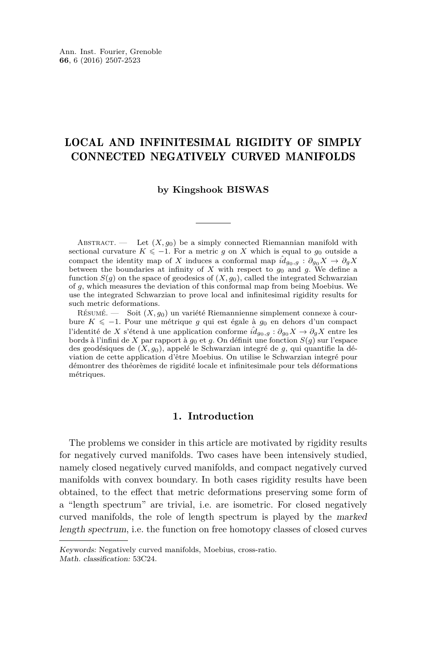#### LOCAL AND INFINITESIMAL RIGIDITY OF SIMPLY CONNECTED NEGATIVELY CURVED MANIFOLDS

#### **by Kingshook BISWAS**

ABSTRACT. — Let  $(X, q_0)$  be a simply connected Riemannian manifold with sectional curvature  $K \leq -1$ . For a metric *g* on *X* which is equal to *g*<sub>0</sub> outside a compact the identity map of *X* induces a conformal map  $\hat{id}_{g_0,g}: \partial_{g_0} X \to \partial_g X$ between the boundaries at infinity of X with respect to  $q_0$  and  $q$ . We define a function  $S(q)$  on the space of geodesics of  $(X, q_0)$ , called the integrated Schwarzian of *g*, which measures the deviation of this conformal map from being Moebius. We use the integrated Schwarzian to prove local and infinitesimal rigidity results for such metric deformations.

Résumé. — Soit (*X, g*0) un variété Riemannienne simplement connexe à courbure *K* 6 −1. Pour une métrique *g* qui est égale à *g*<sup>0</sup> en dehors d'un compact l'identité de *X* s'étend à une application conforme  $\hat{id}_{g_0,g}: \partial_{g_0} X \to \partial_g X$  entre les bords à l'infini de *X* par rapport à *g*<sup>0</sup> et *g*. On définit une fonction *S*(*g*) sur l'espace des geodésiques de (*X, g*0), appelé le Schwarzian integré de *g*, qui quantifie la déviation de cette application d'être Moebius. On utilise le Schwarzian integré pour démontrer des théorèmes de rigidité locale et infinitesimale pour tels déformations métriques.

#### **1. Introduction**

The problems we consider in this article are motivated by rigidity results for negatively curved manifolds. Two cases have been intensively studied, namely closed negatively curved manifolds, and compact negatively curved manifolds with convex boundary. In both cases rigidity results have been obtained, to the effect that metric deformations preserving some form of a "length spectrum" are trivial, i.e. are isometric. For closed negatively curved manifolds, the role of length spectrum is played by the marked length spectrum, i.e. the function on free homotopy classes of closed curves

Keywords: Negatively curved manifolds, Moebius, cross-ratio. Math. classification: 53C24.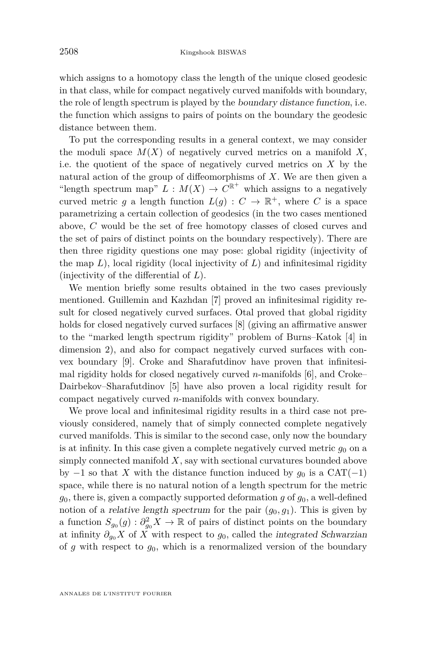which assigns to a homotopy class the length of the unique closed geodesic in that class, while for compact negatively curved manifolds with boundary, the role of length spectrum is played by the boundary distance function, i.e. the function which assigns to pairs of points on the boundary the geodesic distance between them.

To put the corresponding results in a general context, we may consider the moduli space  $M(X)$  of negatively curved metrics on a manifold X, i.e. the quotient of the space of negatively curved metrics on *X* by the natural action of the group of diffeomorphisms of *X*. We are then given a "length spectrum map"  $L: M(X) \to C^{\mathbb{R}^+}$  which assigns to a negatively curved metric *g* a length function  $L(g) : C \to \mathbb{R}^+$ , where *C* is a space parametrizing a certain collection of geodesics (in the two cases mentioned above, *C* would be the set of free homotopy classes of closed curves and the set of pairs of distinct points on the boundary respectively). There are then three rigidity questions one may pose: global rigidity (injectivity of the map  $L$ ), local rigidity (local injectivity of  $L$ ) and infinitesimal rigidity (injectivity of the differential of *L*).

We mention briefly some results obtained in the two cases previously mentioned. Guillemin and Kazhdan [\[7\]](#page-17-0) proved an infinitesimal rigidity result for closed negatively curved surfaces. Otal proved that global rigidity holds for closed negatively curved surfaces [\[8\]](#page-17-1) (giving an affirmative answer to the "marked length spectrum rigidity" problem of Burns–Katok [\[4\]](#page-17-2) in dimension 2), and also for compact negatively curved surfaces with convex boundary [\[9\]](#page-17-3). Croke and Sharafutdinov have proven that infinitesimal rigidity holds for closed negatively curved *n*-manifolds [\[6\]](#page-17-4), and Croke– Dairbekov–Sharafutdinov [\[5\]](#page-17-5) have also proven a local rigidity result for compact negatively curved *n*-manifolds with convex boundary.

We prove local and infinitesimal rigidity results in a third case not previously considered, namely that of simply connected complete negatively curved manifolds. This is similar to the second case, only now the boundary is at infinity. In this case given a complete negatively curved metric  $g_0$  on a simply connected manifold *X*, say with sectional curvatures bounded above by  $-1$  so that *X* with the distance function induced by  $g_0$  is a CAT( $-1$ ) space, while there is no natural notion of a length spectrum for the metric  $g_0$ , there is, given a compactly supported deformation  $g$  of  $g_0$ , a well-defined notion of a *relative length spectrum* for the pair  $(g_0, g_1)$ . This is given by a function  $S_{g_0}(g) : \partial_{g_0}^2 X \to \mathbb{R}$  of pairs of distinct points on the boundary at infinity  $\partial_{q_0} X$  of  $\overline{X}$  with respect to  $g_0$ , called the integrated Schwarzian of *g* with respect to *g*0, which is a renormalized version of the boundary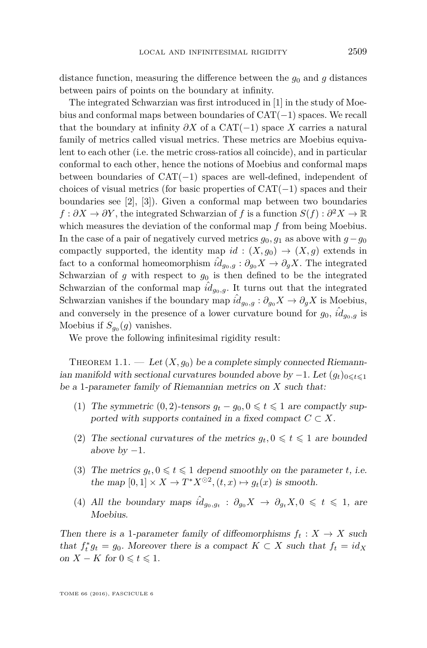distance function, measuring the difference between the  $g_0$  and  $g$  distances between pairs of points on the boundary at infinity.

The integrated Schwarzian was first introduced in [\[1\]](#page-16-0) in the study of Moebius and conformal maps between boundaries of CAT(−1) spaces. We recall that the boundary at infinity  $\partial X$  of a CAT(−1) space X carries a natural family of metrics called visual metrics. These metrics are Moebius equivalent to each other (i.e. the metric cross-ratios all coincide), and in particular conformal to each other, hence the notions of Moebius and conformal maps between boundaries of CAT(−1) spaces are well-defined, independent of choices of visual metrics (for basic properties of  $CAT(-1)$  spaces and their boundaries see [\[2\]](#page-16-1), [\[3\]](#page-17-6)). Given a conformal map between two boundaries  $f: \partial X \to \partial Y$ , the integrated Schwarzian of *f* is a function  $S(f): \partial^2 X \to \mathbb{R}$ which measures the deviation of the conformal map *f* from being Moebius. In the case of a pair of negatively curved metrics *g*0*, g*<sup>1</sup> as above with *g*−*g*<sup>0</sup> compactly supported, the identity map  $id : (X, g_0) \to (X, g)$  extends in fact to a conformal homeomorphism  $\hat{i}d_{q_0,q}: \partial_{q_0} X \to \partial_q X$ . The integrated Schwarzian of  $g$  with respect to  $g_0$  is then defined to be the integrated Schwarzian of the conformal map  $\hat{i}d_{g_0,g}$ . It turns out that the integrated Schwarzian vanishes if the boundary map  $\hat{id}_{g_0,g}: \partial_{g_0} X \to \partial_g X$  is Moebius, and conversely in the presence of a lower curvature bound for  $g_0$ ,  $\hat{i}d_{g_0,g}$  is Moebius if  $S_{g_0}(g)$  vanishes.

We prove the following infinitesimal rigidity result:

<span id="page-3-0"></span>THEOREM 1.1. — Let  $(X, g_0)$  be a complete simply connected Riemannian manifold with sectional curvatures bounded above by  $-1$ . Let  $(q_t)_{0 \leq t \leq 1}$ be a 1-parameter family of Riemannian metrics on *X* such that:

- (1) The symmetric (0,2)-tensors  $q_t q_0$ ,  $0 \leq t \leq 1$  are compactly supported with supports contained in a fixed compact  $C \subset X$ .
- (2) The sectional curvatures of the metrics  $g_t, 0 \leq t \leq 1$  are bounded above by  $-1$ .
- (3) The metrics  $g_t, 0 \leq t \leq 1$  depend smoothly on the parameter *t*, i.e. the map  $[0,1] \times X \to T^*X^{\odot 2}, (t,x) \mapsto g_t(x)$  is smooth.
- (4) All the boundary maps  $\hat{i}d_{g_0,g_t}$  :  $\partial_{g_0}X \to \partial_{g_t}X, 0 \leq t \leq 1$ , are Moebius.

Then there is a 1-parameter family of diffeomorphisms  $f_t: X \to X$  such that  $f_t^* g_t = g_0$ . Moreover there is a compact  $K \subset X$  such that  $f_t = id_X$ on *X* − *K* for  $0 \le t \le 1$ .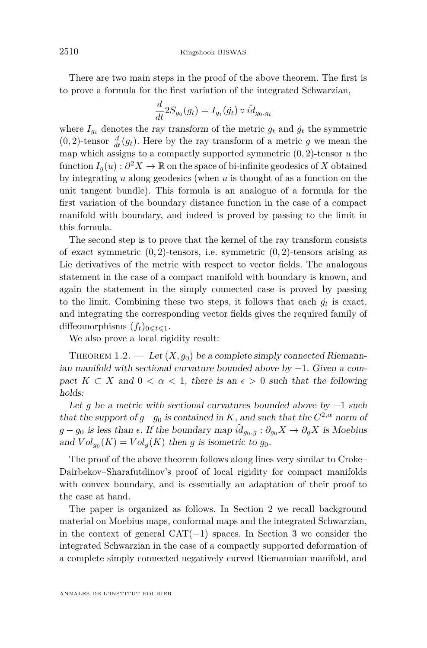There are two main steps in the proof of the above theorem. The first is to prove a formula for the first variation of the integrated Schwarzian,

$$
\frac{d}{dt} 2S_{g_0}(g_t) = I_{g_t}(\dot{g_t}) \circ \hat{i d_{g_0, g_t}
$$

where  $I_{q_t}$  denotes the ray transform of the metric  $g_t$  and  $\dot{g}_t$  the symmetric  $(0, 2)$ -tensor  $\frac{d}{dt}(g_t)$ . Here by the ray transform of a metric *g* we mean the map which assigns to a compactly supported symmetric (0*,* 2)-tensor *u* the function  $I_g(u) : \partial^2 X \to \mathbb{R}$  on the space of bi-infinite geodesics of X obtained by integrating *u* along geodesics (when *u* is thought of as a function on the unit tangent bundle). This formula is an analogue of a formula for the first variation of the boundary distance function in the case of a compact manifold with boundary, and indeed is proved by passing to the limit in this formula.

The second step is to prove that the kernel of the ray transform consists of exact symmetric (0*,* 2)-tensors, i.e. symmetric (0*,* 2)-tensors arising as Lie derivatives of the metric with respect to vector fields. The analogous statement in the case of a compact manifold with boundary is known, and again the statement in the simply connected case is proved by passing to the limit. Combining these two steps, it follows that each  $\dot{g}_t$  is exact, and integrating the corresponding vector fields gives the required family of diffeomorphisms  $(f_t)_{0 \leq t \leq 1}$ .

We also prove a local rigidity result:

<span id="page-4-0"></span>THEOREM 1.2. — Let  $(X, g_0)$  be a complete simply connected Riemannian manifold with sectional curvature bounded above by  $-1$ . Given a compact  $K \subset X$  and  $0 < \alpha < 1$ , there is an  $\epsilon > 0$  such that the following holds:

Let *g* be a metric with sectional curvatures bounded above by  $-1$  such that the support of  $g-g_0$  is contained in *K*, and such that the  $C^{2,\alpha}$  norm of  $g - g_0$  is less than  $\epsilon$ . If the boundary map  $\hat{id}_{g_0,g}: \partial_{g_0} X \to \partial_g X$  is Moebius and  $Vol_{g_0}(K) = Vol_g(K)$  then *g* is isometric to  $g_0$ .

The proof of the above theorem follows along lines very similar to Croke– Dairbekov–Sharafutdinov's proof of local rigidity for compact manifolds with convex boundary, and is essentially an adaptation of their proof to the case at hand.

The paper is organized as follows. In Section [2](#page-5-0) we recall background material on Moebius maps, conformal maps and the integrated Schwarzian, in the context of general  $CAT(-1)$  spaces. In Section [3](#page-7-0) we consider the integrated Schwarzian in the case of a compactly supported deformation of a complete simply connected negatively curved Riemannian manifold, and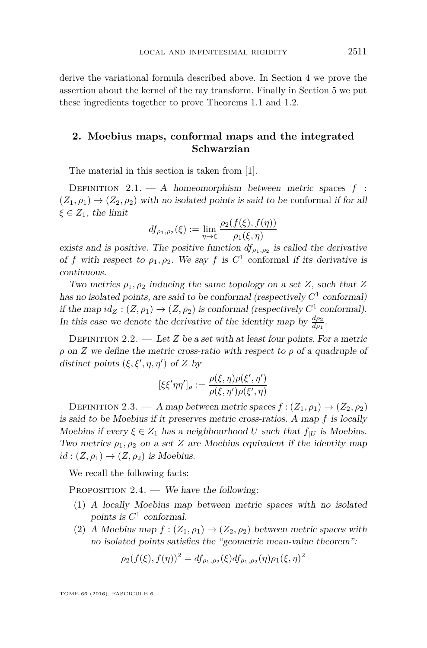derive the variational formula described above. In Section [4](#page-12-0) we prove the assertion about the kernel of the ray transform. Finally in Section [5](#page-14-0) we put these ingredients together to prove Theorems [1.1](#page-3-0) and [1.2.](#page-4-0)

#### <span id="page-5-0"></span>**2. Moebius maps, conformal maps and the integrated Schwarzian**

The material in this section is taken from [\[1\]](#page-16-0).

DEFINITION  $2.1. - A$  homeomorphism between metric spaces  $f$ :  $(Z_1, \rho_1) \rightarrow (Z_2, \rho_2)$  with no isolated points is said to be conformal if for all  $\xi \in Z_1$ , the limit

$$
df_{\rho_1,\rho_2}(\xi) := \lim_{\eta \to \xi} \frac{\rho_2(f(\xi), f(\eta))}{\rho_1(\xi, \eta)}
$$

exists and is positive. The positive function  $df_{\rho_1,\rho_2}$  is called the derivative of *f* with respect to  $\rho_1, \rho_2$ . We say *f* is  $C^1$  conformal if its derivative is continuous.

Two metrics  $\rho_1, \rho_2$  inducing the same topology on a set *Z*, such that *Z* has no isolated points, are said to be conformal (respectively  $C<sup>1</sup>$  conformal) if the map  $id_Z : (Z, \rho_1) \to (Z, \rho_2)$  is conformal (respectively  $C^1$  conformal). In this case we denote the derivative of the identity map by  $\frac{d\rho_2}{d\rho_1}$ .

DEFINITION 2.2.  $-$  Let *Z* be a set with at least four points. For a metric *ρ* on *Z* we define the metric cross-ratio with respect to *ρ* of a quadruple of distinct points  $(\xi, \xi', \eta, \eta')$  of *Z* by

$$
[\xi \xi' \eta \eta']_{\rho} := \frac{\rho(\xi, \eta) \rho(\xi', \eta')}{\rho(\xi, \eta') \rho(\xi', \eta)}
$$

DEFINITION 2.3. — A map between metric spaces  $f : (Z_1, \rho_1) \to (Z_2, \rho_2)$ is said to be Moebius if it preserves metric cross-ratios. A map *f* is locally Moebius if every  $\xi \in Z_1$  has a neighbourhood *U* such that  $f_{|U}$  is Moebius. Two metrics  $\rho_1$ ,  $\rho_2$  on a set *Z* are Moebius equivalent if the identity map  $id: (Z, \rho_1) \rightarrow (Z, \rho_2)$  is Moebius.

We recall the following facts:

PROPOSITION  $2.4.$  — We have the following:

- (1) A locally Moebius map between metric spaces with no isolated points is  $C^1$  conformal.
- (2) A Moebius map  $f : (Z_1, \rho_1) \to (Z_2, \rho_2)$  between metric spaces with no isolated points satisfies the "geometric mean-value theorem":

$$
\rho_2(f(\xi), f(\eta))^2 = df_{\rho_1, \rho_2}(\xi) df_{\rho_1, \rho_2}(\eta) \rho_1(\xi, \eta)^2
$$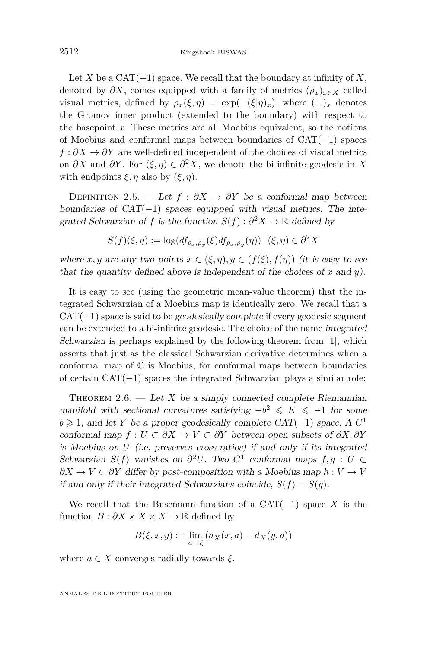Let *X* be a CAT $(-1)$  space. We recall that the boundary at infinity of *X*, denoted by  $\partial X$ , comes equipped with a family of metrics  $(\rho_x)_{x\in X}$  called visual metrics, defined by  $\rho_x(\xi, \eta) = \exp(-(\xi|\eta)_x)$ , where  $(.).)_x$  denotes the Gromov inner product (extended to the boundary) with respect to the basepoint *x*. These metrics are all Moebius equivalent, so the notions of Moebius and conformal maps between boundaries of CAT(−1) spaces  $f : \partial X \to \partial Y$  are well-defined independent of the choices of visual metrics on *∂X* and *∂Y* . For (*ξ, η*) ∈ *∂* <sup>2</sup>*X*, we denote the bi-infinite geodesic in *X* with endpoints  $\xi, \eta$  also by  $(\xi, \eta)$ .

DEFINITION 2.5. — Let  $f : \partial X \to \partial Y$  be a conformal map between boundaries of  $CAT(-1)$  spaces equipped with visual metrics. The integrated Schwarzian of *f* is the function  $S(f) : \partial^2 X \to \mathbb{R}$  defined by

$$
S(f)(\xi,\eta) := \log(df_{\rho_x,\rho_y}(\xi)df_{\rho_x,\rho_y}(\eta)) \quad (\xi,\eta) \in \partial^2 X
$$

where *x*, *y* are any two points  $x \in (\xi, \eta), y \in (f(\xi), f(\eta))$  (it is easy to see that the quantity defined above is independent of the choices of *x* and *y*).

It is easy to see (using the geometric mean-value theorem) that the integrated Schwarzian of a Moebius map is identically zero. We recall that a  $CAT(-1)$  space is said to be geodesically complete if every geodesic segment can be extended to a bi-infinite geodesic. The choice of the name integrated Schwarzian is perhaps explained by the following theorem from [\[1\]](#page-16-0), which asserts that just as the classical Schwarzian derivative determines when a conformal map of  $\mathbb C$  is Moebius, for conformal maps between boundaries of certain CAT(−1) spaces the integrated Schwarzian plays a similar role:

THEOREM 2.6. — Let X be a simply connected complete Riemannian manifold with sectional curvatures satisfying  $-b^2 \leqslant K \leqslant -1$  for some *b* ≥ 1, and let *Y* be a proper geodesically complete  $CAT(-1)$  space. A  $C<sup>1</sup>$ conformal map  $f: U \subset \partial X \to V \subset \partial Y$  between open subsets of  $\partial X, \partial Y$ is Moebius on *U* (i.e. preserves cross-ratios) if and only if its integrated Schwarzian  $S(f)$  vanishes on  $\partial^2 U$ . Two  $C^1$  conformal maps  $f, g : U \subset$  $\partial X \to V \subset \partial Y$  differ by post-composition with a Moebius map  $h: V \to V$ if and only if their integrated Schwarzians coincide,  $S(f) = S(g)$ .

We recall that the Busemann function of a  $CAT(-1)$  space X is the function  $B : \partial X \times X \times X \to \mathbb{R}$  defined by

$$
B(\xi, x, y) := \lim_{a \to \xi} \left( d_X(x, a) - d_X(y, a) \right)
$$

where  $a \in X$  converges radially towards  $\xi$ .

ANNALES DE L'INSTITUT FOURIER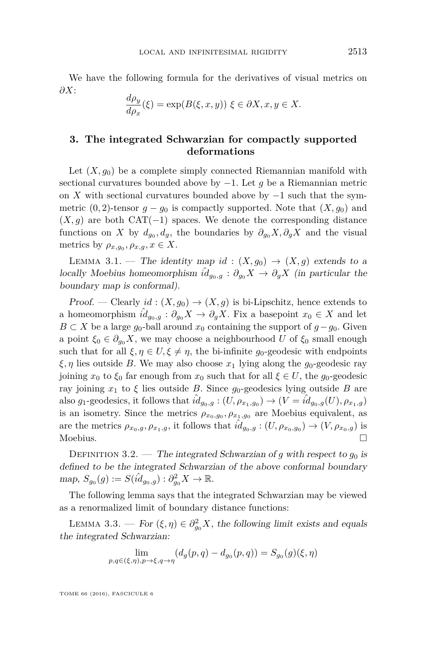We have the following formula for the derivatives of visual metrics on *∂X*:

$$
\frac{d\rho_y}{d\rho_x}(\xi) = \exp(B(\xi, x, y)) \xi \in \partial X, x, y \in X.
$$

#### <span id="page-7-0"></span>**3. The integrated Schwarzian for compactly supported deformations**

Let  $(X, q_0)$  be a complete simply connected Riemannian manifold with sectional curvatures bounded above by −1. Let *g* be a Riemannian metric on *X* with sectional curvatures bounded above by  $-1$  such that the symmetric  $(0, 2)$ -tensor  $g - g_0$  is compactly supported. Note that  $(X, g_0)$  and  $(X, g)$  are both CAT(−1) spaces. We denote the corresponding distance functions on *X* by  $d_{g_0}, d_g$ , the boundaries by  $\partial_{g_0} X, \partial_g X$  and the visual metrics by  $\rho_{x,g_0}, \rho_{x,g}, x \in X$ .

LEMMA 3.1. — The identity map *id* :  $(X, g_0) \rightarrow (X, g)$  extends to a locally Moebius homeomorphism  $\hat{i}d_{g_0,g}: \partial_{g_0} X \to \partial_g X$  (in particular the boundary map is conformal).

Proof. — Clearly  $id : (X, g_0) \to (X, g)$  is bi-Lipschitz, hence extends to a homeomorphism  $\hat{id}_{g_0,g}: \partial_{g_0} X \to \partial_g X$ . Fix a basepoint  $x_0 \in X$  and let *B* ⊂ *X* be a large  $g_0$ -ball around  $x_0$  containing the support of  $g-g_0$ . Given a point  $\xi_0 \in \partial_{q_0} X$ , we may choose a neighbourhood *U* of  $\xi_0$  small enough such that for all  $\xi, \eta \in U, \xi \neq \eta$ , the bi-infinite *g*<sub>0</sub>-geodesic with endpoints  $\xi, \eta$  lies outside *B*. We may also choose  $x_1$  lying along the *g*<sub>0</sub>-geodesic ray joining  $x_0$  to  $\xi_0$  far enough from  $x_0$  such that for all  $\xi \in U$ , the  $g_0$ -geodesic ray joining  $x_1$  to  $\xi$  lies outside *B*. Since  $g_0$ -geodesics lying outside *B* are also  $g_1$ -geodesics, it follows that  $\hat{id}_{g_0,g}: (U, \rho_{x_1,g_0}) \to (V = \hat{id}_{g_0,g}(U), \rho_{x_1,g})$ is an isometry. Since the metrics  $\rho_{x_0,g_0}, \rho_{x_1,g_0}$  are Moebius equivalent, as are the metrics  $\rho_{x_0,g}, \rho_{x_1,g}$ , it follows that  $\hat{id}_{g_0,g}: (U, \rho_{x_0,g_0}) \to (V, \rho_{x_0,g})$  is Moebius.  $\Box$ 

DEFINITION 3.2. — The integrated Schwarzian of *g* with respect to  $g_0$  is defined to be the integrated Schwarzian of the above conformal boundary  $map, S_{g_0}(g) := S(\hat{id}_{g_0,g}) : \partial_{g_0}^2 X \to \mathbb{R}.$ 

The following lemma says that the integrated Schwarzian may be viewed as a renormalized limit of boundary distance functions:

<span id="page-7-1"></span>LEMMA 3.3. — For  $(\xi, \eta) \in \partial_{g_0}^2 X$ , the following limit exists and equals the integrated Schwarzian:

$$
\lim_{p,q \in (\xi,\eta), p \to \xi, q \to \eta} (d_g(p,q) - d_{g_0}(p,q)) = S_{g_0}(g)(\xi, \eta)
$$

TOME 66 (2016), FASCICULE 6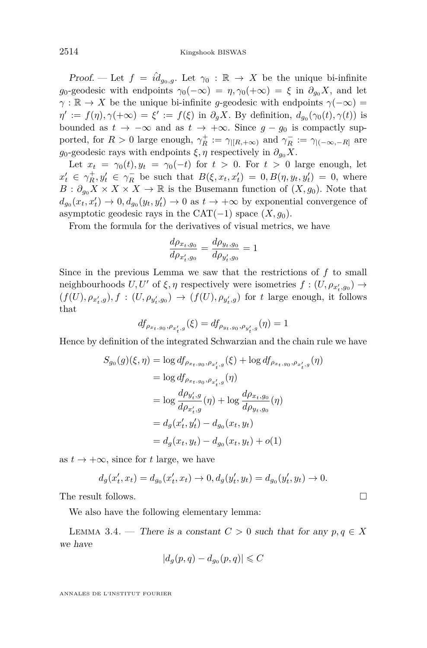Proof. — Let  $f = \hat{id}_{g_0,g}$ . Let  $\gamma_0 : \mathbb{R} \to X$  be the unique bi-infinite *g*<sub>0</sub>-geodesic with endpoints  $\gamma_0(-\infty) = \eta$ ,  $\gamma_0(+\infty) = \xi$  in  $\partial_{\eta_0} X$ , and let  $\gamma$  :  $\mathbb{R} \to X$  be the unique bi-infinite *g*-geodesic with endpoints  $\gamma(-\infty) =$  $\eta' := f(\eta), \gamma(+\infty) = \xi' := f(\xi)$  in  $\partial_g X$ . By definition,  $d_{g_0}(\gamma_0(t), \gamma(t))$  is bounded as  $t \to -\infty$  and as  $t \to +\infty$ . Since  $g - g_0$  is compactly supported, for  $R > 0$  large enough,  $\gamma_R^+ := \gamma_{|[R, +\infty)}$  and  $\gamma_R^- := \gamma_{|(-\infty, -R]}$  are *g*<sub>0</sub>-geodesic rays with endpoints  $\xi, \eta$  respectively in  $\partial_{\theta} X$ .

Let  $x_t = \gamma_0(t), y_t = \gamma_0(-t)$  for  $t > 0$ . For  $t > 0$  large enough, let  $x'_t \in \gamma_R^+, y'_t \in \gamma_R^-$  be such that  $B(\xi, x_t, x'_t) = 0, B(\eta, y_t, y'_t) = 0$ , where  $B: \partial_{g_0} X \times X \times X \to \mathbb{R}$  is the Busemann function of  $(X, g_0)$ . Note that  $d_{g_0}(x_t, x_t) \to 0, d_{g_0}(y_t, y_t) \to 0$  as  $t \to +\infty$  by exponential convergence of asymptotic geodesic rays in the  $CAT(-1)$  space  $(X, g_0)$ .

From the formula for the derivatives of visual metrics, we have

$$
\frac{d\rho_{x_t, g_0}}{d\rho_{x'_t, g_0}} = \frac{d\rho_{y_t, g_0}}{d\rho_{y'_t, g_0}} = 1
$$

Since in the previous Lemma we saw that the restrictions of *f* to small neighbourhoods  $U, U'$  of  $\xi, \eta$  respectively were isometries  $f : (U, \rho_{x'_t, g_0}) \to$  $(f(U), \rho_{x'_t,g}), f : (U, \rho_{y'_t,g_0}) \rightarrow (f(U), \rho_{y'_t,g})$  for t large enough, it follows that

$$
df_{\rho_{x_t, g_0}, \rho_{x'_t, g}}(\xi) = df_{\rho_{y_t, g_0}, \rho_{y'_t, g}}(\eta) = 1
$$

Hence by definition of the integrated Schwarzian and the chain rule we have

$$
S_{g_0}(g)(\xi, \eta) = \log df_{\rho_{x_t, g_0}, \rho_{x'_t, g}}(\xi) + \log df_{\rho_{x_t, g_0}, \rho_{x'_t, g}}(\eta)
$$
  
\n
$$
= \log df_{\rho_{x_t, g_0}, \rho_{x'_t, g}}(\eta)
$$
  
\n
$$
= \log \frac{d\rho_{y'_t, g}}{d\rho_{x'_t, g}}(\eta) + \log \frac{d\rho_{x_t, g_0}}{d\rho_{y_t, g_0}}(\eta)
$$
  
\n
$$
= d_g(x'_t, y'_t) - d_{g_0}(x_t, y_t)
$$
  
\n
$$
= d_g(x_t, y_t) - d_{g_0}(x_t, y_t) + o(1)
$$

as  $t \to +\infty$ , since for *t* large, we have

$$
d_g(x'_t,x_t) = d_{g_0}(x'_t,x_t) \to 0, d_g(y'_t,y_t) = d_{g_0}(y'_t,y_t) \to 0.
$$

The result follows.

We also have the following elementary lemma:

<span id="page-8-0"></span>LEMMA 3.4. — There is a constant  $C > 0$  such that for any  $p, q \in X$ we have

$$
|d_g(p,q)-d_{g_0}(p,q)|\leqslant C
$$

ANNALES DE L'INSTITUT FOURIER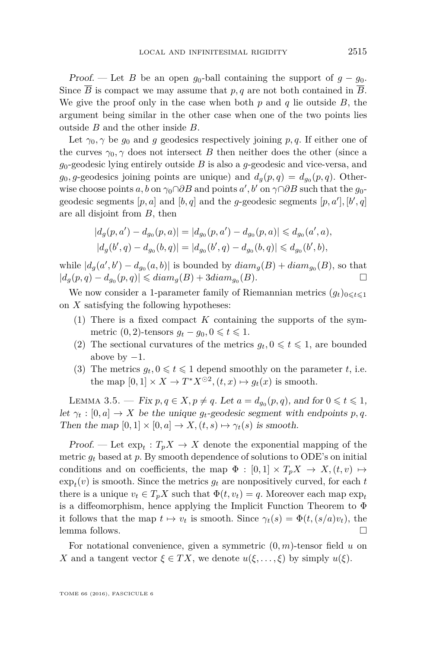Proof. — Let *B* be an open  $g_0$ -ball containing the support of  $g - g_0$ . Since  $\overline{B}$  is compact we may assume that  $p, q$  are not both contained in  $\overline{B}$ . We give the proof only in the case when both *p* and *q* lie outside *B*, the argument being similar in the other case when one of the two points lies outside *B* and the other inside *B*.

Let  $\gamma_0$ ,  $\gamma$  be  $g_0$  and  $g$  geodesics respectively joining p, q. If either one of the curves  $\gamma_0$ ,  $\gamma$  does not intersect *B* then neither does the other (since a *g*0-geodesic lying entirely outside *B* is also a *g*-geodesic and vice-versa, and  $g_0, g$ -geodesics joining points are unique) and  $d_g(p, q) = d_{g_0}(p, q)$ . Otherwise choose points  $a, b$  on  $\gamma_0 \cap \partial B$  and points  $a', b'$  on  $\gamma \cap \partial B$  such that the  $g_0$ geodesic segments  $[p, a]$  and  $[b, q]$  and the *g*-geodesic segments  $[p, a'], [b', q]$ are all disjoint from *B*, then

$$
\begin{aligned} |d_g(p,a')-d_{g_0}(p,a)|&=|d_{g_0}(p,a')-d_{g_0}(p,a)|\leqslant d_{g_0}(a',a),\\ |d_g(b',q)-d_{g_0}(b,q)|&=|d_{g_0}(b',q)-d_{g_0}(b,q)|\leqslant d_{g_0}(b',b), \end{aligned}
$$

while  $|d_g(a', b') - d_{g_0}(a, b)|$  is bounded by  $diam_g(B) + diam_{g_0}(B)$ , so that  $|d_g(p, q) - d_{g_0}(p, q)|$  ≤  $diam_g(B) + 3diam_{g_0}(B)$ . □

We now consider a 1-parameter family of Riemannian metrics  $(q_t)_{0 \leq t \leq 1}$ on *X* satisfying the following hypotheses:

- (1) There is a fixed compact *K* containing the supports of the symmetric  $(0, 2)$ -tensors  $g_t - g_0, 0 \leq t \leq 1$ .
- (2) The sectional curvatures of the metrics  $g_t, 0 \leq t \leq 1$ , are bounded above by  $-1$ .
- (3) The metrics  $g_t, 0 \leq t \leq 1$  depend smoothly on the parameter *t*, i.e. the map  $[0,1] \times X \to T^*X^{\odot 2}, (t,x) \mapsto g_t(x)$  is smooth.

LEMMA 3.5. — Fix  $p, q \in X, p \neq q$ . Let  $a = d_{g_0}(p, q)$ , and for  $0 \leq t \leq 1$ , let  $\gamma_t : [0, a] \to X$  be the unique  $g_t$ -geodesic segment with endpoints p, q. Then the map  $[0,1] \times [0,a] \to X$ ,  $(t,s) \mapsto \gamma_t(s)$  is smooth.

Proof. — Let  $\exp_t: T_p X \to X$  denote the exponential mapping of the metric  $g_t$  based at p. By smooth dependence of solutions to ODE's on initial conditions and on coefficients, the map  $\Phi : [0,1] \times T_p X \to X, (t, v) \mapsto$  $\exp_t(v)$  is smooth. Since the metrics  $g_t$  are nonpositively curved, for each  $t$ there is a unique  $v_t \in T_p X$  such that  $\Phi(t, v_t) = q$ . Moreover each map  $\exp_t$ is a diffeomorphism, hence applying the Implicit Function Theorem to Φ it follows that the map  $t \mapsto v_t$  is smooth. Since  $\gamma_t(s) = \Phi(t, (s/a)v_t)$ , the lemma follows.

For notational convenience, given a symmetric (0*, m*)-tensor field *u* on *X* and a tangent vector  $\xi \in TX$ , we denote  $u(\xi, \ldots, \xi)$  by simply  $u(\xi)$ .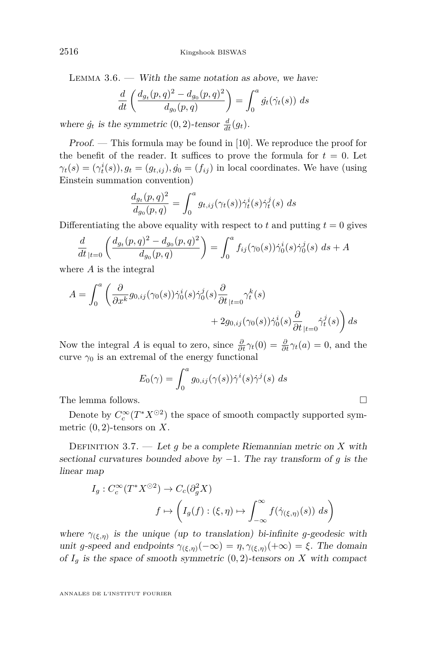<span id="page-10-0"></span>LEMMA  $3.6.$  — With the same notation as above, we have:

$$
\frac{d}{dt} \left( \frac{d_{g_t}(p,q)^2 - d_{g_0}(p,q)^2}{d_{g_0}(p,q)} \right) = \int_0^a \dot{g}_t(\dot{\gamma_t}(s)) \ ds
$$

where  $\dot{g}_t$  is the symmetric  $(0, 2)$ -tensor  $\frac{d}{dt}(g_t)$ .

Proof. — This formula may be found in [\[10\]](#page-17-7). We reproduce the proof for the benefit of the reader. It suffices to prove the formula for  $t = 0$ . Let  $\gamma_t(s) = (\gamma_t^i(s)), g_t = (g_{t,ij}), \dot{g_0} = (f_{ij})$  in local coordinates. We have (using Einstein summation convention)

$$
\frac{d_{g_t}(p,q)^2}{d_{g_0}(p,q)} = \int_0^a g_{t,ij}(\gamma_t(s)) \dot{\gamma}_t^i(s) \dot{\gamma}_t^j(s) ds
$$

Differentiating the above equality with respect to  $t$  and putting  $t = 0$  gives

$$
\frac{d}{dt}_{|t=0} \left( \frac{d_{g_t}(p,q)^2 - d_{g_0}(p,q)^2}{d_{g_0}(p,q)} \right) = \int_0^a f_{ij}(\gamma_0(s)) \dot{\gamma}_0^i(s) \dot{\gamma}_0^j(s) ds + A
$$

where *A* is the integral

$$
A = \int_0^a \left( \frac{\partial}{\partial x^k} g_{0,ij}(\gamma_0(s)) \dot{\gamma}_0^i(s) \dot{\gamma}_0^j(s) \frac{\partial}{\partial t}_{|t=0} \gamma_t^k(s) + 2g_{0,ij}(\gamma_0(s)) \dot{\gamma}_0^i(s) \frac{\partial}{\partial t}_{|t=0} \dot{\gamma}_t^j(s) \right) ds
$$

Now the integral *A* is equal to zero, since  $\frac{\partial}{\partial t}\gamma_t(0) = \frac{\partial}{\partial t}\gamma_t(a) = 0$ , and the curve  $\gamma_0$  is an extremal of the energy functional

$$
E_0(\gamma) = \int_0^a g_{0,ij}(\gamma(s)) \dot{\gamma}^i(s) \dot{\gamma}^j(s) \ ds
$$

The lemma follows.

Denote by  $C_c^{\infty}(T^*X^{\odot 2})$  the space of smooth compactly supported symmetric  $(0, 2)$ -tensors on X.

Definition 3.7. — Let *g* be a complete Riemannian metric on *X* with sectional curvatures bounded above by −1. The ray transform of *g* is the linear map

$$
I_g: C_c^{\infty}(T^*X^{\odot 2}) \to C_c(\partial_g^2 X)
$$

$$
f \mapsto \left(I_g(f): (\xi, \eta) \mapsto \int_{-\infty}^{\infty} f(\dot{\gamma}_{(\xi, \eta)}(s)) ds\right)
$$

where  $\gamma_{(\xi,\eta)}$  is the unique (up to translation) bi-infinite *g*-geodesic with unit *g*-speed and endpoints  $\gamma_{(\xi,\eta)}(-\infty) = \eta$ ,  $\gamma_{(\xi,\eta)}(+\infty) = \xi$ . The domain of  $I_g$  is the space of smooth symmetric  $(0, 2)$ -tensors on *X* with compact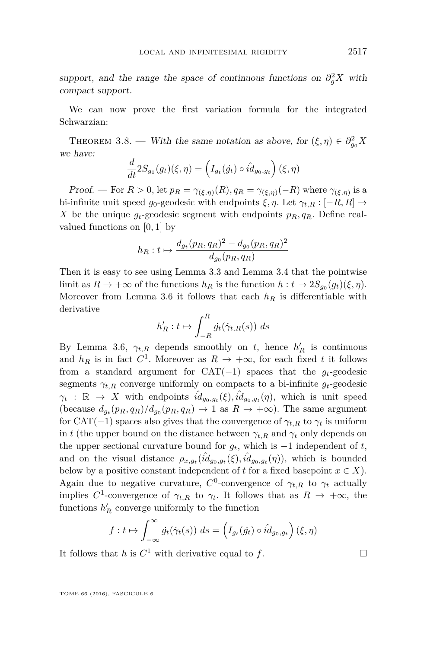support, and the range the space of continuous functions on  $\partial_g^2 X$  with compact support.

We can now prove the first variation formula for the integrated Schwarzian:

<span id="page-11-0"></span>THEOREM 3.8. — With the same notation as above, for  $(\xi, \eta) \in \partial_{g_0}^2 X$ we have:

$$
\frac{d}{dt}2S_{g_0}(g_t)(\xi,\eta) = \left(I_{g_t}(\dot{g_t}) \circ \hat{id}_{g_0,g_t}\right)(\xi,\eta)
$$

Proof. — For  $R > 0$ , let  $p_R = \gamma_{(\xi,\eta)}(R)$ ,  $q_R = \gamma_{(\xi,\eta)}(-R)$  where  $\gamma_{(\xi,\eta)}$  is a bi-infinite unit speed  $g_0$ -geodesic with endpoints  $\xi, \eta$ . Let  $\gamma_{t,R} : [-R, R] \rightarrow$ *X* be the unique  $q_t$ -geodesic segment with endpoints  $p_R, q_R$ . Define realvalued functions on [0*,* 1] by

$$
h_R: t \mapsto \frac{d_{g_t}(p_R, q_R)^2 - d_{g_0}(p_R, q_R)^2}{d_{g_0}(p_R, q_R)}
$$

Then it is easy to see using Lemma [3.3](#page-7-1) and Lemma [3.4](#page-8-0) that the pointwise limit as  $R \to +\infty$  of the functions  $h_R$  is the function  $h: t \mapsto 2S_{g_0}(g_t)(\xi, \eta)$ . Moreover from Lemma [3.6](#page-10-0) it follows that each  $h_R$  is differentiable with derivative

$$
h'_R: t \mapsto \int_{-R}^R \dot{g}_t(\dot{\gamma}_{t,R}(s)) \ ds
$$

By Lemma [3.6,](#page-10-0)  $\gamma_{t,R}$  depends smoothly on *t*, hence  $h'_R$  is continuous and  $h_R$  is in fact  $C^1$ . Moreover as  $R \to +\infty$ , for each fixed *t* it follows from a standard argument for CAT(−1) spaces that the *gt*-geodesic segments  $\gamma_{t,R}$  converge uniformly on compacts to a bi-infinite  $g_t$ -geodesic  $\gamma_t$  :  $\mathbb{R} \to X$  with endpoints  $\hat{id}_{g_0,g_t}(\xi), \hat{id}_{g_0,g_t}(\eta)$ , which is unit speed (because  $d_{g_t}(p_R, q_R)/d_{g_0}(p_R, q_R) \to 1$  as  $R \to +\infty$ ). The same argument for CAT(−1) spaces also gives that the convergence of  $\gamma_{t,R}$  to  $\gamma_t$  is uniform in *t* (the upper bound on the distance between  $\gamma_{t,R}$  and  $\gamma_t$  only depends on the upper sectional curvature bound for  $g_t$ , which is  $-1$  independent of *t*, and on the visual distance  $\rho_{x,g_t}(\hat{id}_{g_0,g_t}(\xi),\hat{id}_{g_0,g_t}(\eta))$ , which is bounded below by a positive constant independent of *t* for a fixed basepoint  $x \in X$ ). Again due to negative curvature,  $C^0$ -convergence of  $\gamma_{t,R}$  to  $\gamma_t$  actually implies  $C^1$ -convergence of  $\gamma_{t,R}$  to  $\gamma_t$ . It follows that as  $R \to +\infty$ , the functions  $h'_R$  converge uniformly to the function

$$
f: t \mapsto \int_{-\infty}^{\infty} \dot{g}_t(\dot{\gamma}_t(s)) \ ds = \left(I_{g_t}(\dot{g}_t) \circ \hat{id}_{g_0, g_t}\right)(\xi, \eta)
$$

It follows that *h* is  $C^1$  with derivative equal to *f*.

TOME 66 (2016), FASCICULE 6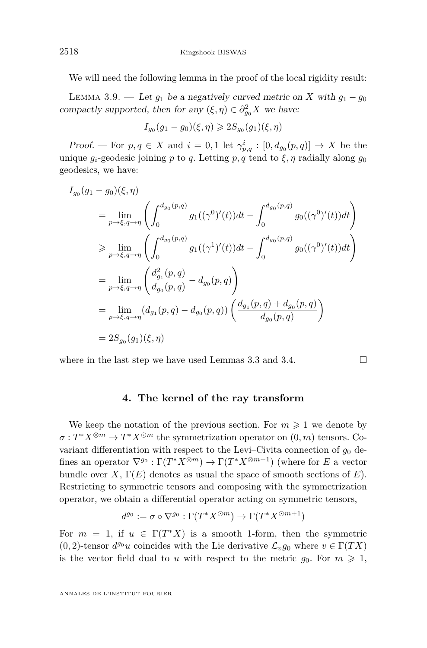We will need the following lemma in the proof of the local rigidity result:

<span id="page-12-1"></span>LEMMA 3.9. — Let  $g_1$  be a negatively curved metric on *X* with  $g_1 - g_0$ compactly supported, then for any  $(\xi, \eta) \in \partial_{g_0}^2 X$  we have:

$$
I_{g_0}(g_1 - g_0)(\xi, \eta) \geqslant 2S_{g_0}(g_1)(\xi, \eta)
$$

*Proof.* — For  $p, q \in X$  and  $i = 0, 1$  let  $\gamma_{p,q}^i : [0, d_{g_0}(p, q)] \to X$  be the unique  $q_i$ -geodesic joining *p* to *q*. Letting *p*, *q* tend to  $\xi$ , *n* radially along  $q_0$ geodesics, we have:

$$
I_{g_0}(g_1 - g_0)(\xi, \eta)
$$
  
\n
$$
= \lim_{p \to \xi, q \to \eta} \left( \int_0^{d_{g_0}(p,q)} g_1((\gamma^0)'(t))dt - \int_0^{d_{g_0}(p,q)} g_0((\gamma^0)'(t))dt \right)
$$
  
\n
$$
\geq \lim_{p \to \xi, q \to \eta} \left( \int_0^{d_{g_0}(p,q)} g_1((\gamma^1)'(t))dt - \int_0^{d_{g_0}(p,q)} g_0((\gamma^0)'(t))dt \right)
$$
  
\n
$$
= \lim_{p \to \xi, q \to \eta} \left( \frac{d_{g_1}^2(p,q)}{d_{g_0}(p,q)} - d_{g_0}(p,q) \right)
$$
  
\n
$$
= \lim_{p \to \xi, q \to \eta} (d_{g_1}(p,q) - d_{g_0}(p,q)) \left( \frac{d_{g_1}(p,q) + d_{g_0}(p,q)}{d_{g_0}(p,q)} \right)
$$
  
\n
$$
= 2S_{g_0}(g_1)(\xi, \eta)
$$

where in the last step we have used Lemmas [3.3](#page-7-1) and [3.4.](#page-8-0)  $\Box$ 

#### **4. The kernel of the ray transform**

<span id="page-12-0"></span>We keep the notation of the previous section. For  $m \geq 1$  we denote by  $\sigma: T^*X^{\otimes m} \to T^*X^{\odot m}$  the symmetrization operator on  $(0, m)$  tensors. Covariant differentiation with respect to the Levi–Civita connection of  $g_0$  defines an operator  $\nabla^{g_0} : \Gamma(T^*X^{\otimes m}) \to \Gamma(T^*X^{\otimes m+1})$  (where for *E* a vector bundle over  $X, \Gamma(E)$  denotes as usual the space of smooth sections of  $E$ ). Restricting to symmetric tensors and composing with the symmetrization operator, we obtain a differential operator acting on symmetric tensors,

$$
d^{g_0} := \sigma \circ \nabla^{g_0} : \Gamma(T^*X^{\odot m}) \to \Gamma(T^*X^{\odot m+1})
$$

For  $m = 1$ , if  $u \in \Gamma(T^*X)$  is a smooth 1-form, then the symmetric  $(0, 2)$ -tensor  $d^{g_0}u$  coincides with the Lie derivative  $\mathcal{L}_v g_0$  where  $v \in \Gamma(TX)$ is the vector field dual to *u* with respect to the metric  $g_0$ . For  $m \geq 1$ ,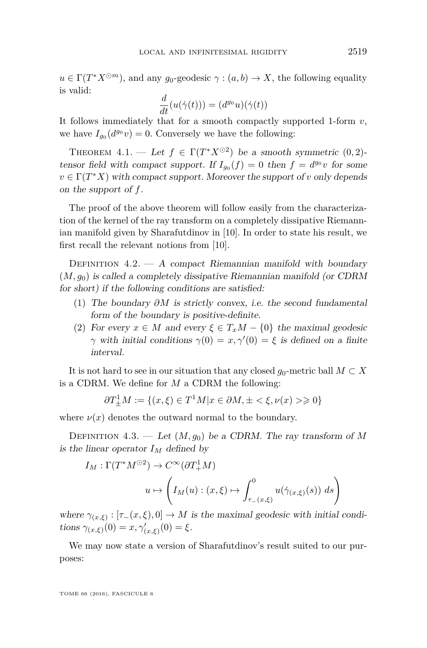$u \in \Gamma(T^*X^{\odot m})$ , and any *g*<sub>0</sub>-geodesic  $\gamma : (a, b) \to X$ , the following equality is valid:

$$
\frac{d}{dt}(u(\dot{\gamma}(t))) = (d^{g_0}u)(\dot{\gamma}(t))
$$

It follows immediately that for a smooth compactly supported 1-form *v*, we have  $I_{g_0}(d^{g_0}v) = 0$ . Conversely we have the following:

<span id="page-13-0"></span>THEOREM  $4.1.$  — Let  $f \in \Gamma(T^*X^{\odot 2})$  be a smooth symmetric  $(0, 2)$ tensor field with compact support. If  $I_{g_0}(f) = 0$  then  $f = d^{g_0}v$  for some  $v \in \Gamma(T^*X)$  with compact support. Moreover the support of *v* only depends on the support of *f*.

The proof of the above theorem will follow easily from the characterization of the kernel of the ray transform on a completely dissipative Riemannian manifold given by Sharafutdinov in [\[10\]](#page-17-7). In order to state his result, we first recall the relevant notions from [\[10\]](#page-17-7).

DEFINITION  $4.2. - A$  compact Riemannian manifold with boundary  $(M, g_0)$  is called a completely dissipative Riemannian manifold (or CDRM for short) if the following conditions are satisfied:

- (1) The boundary *∂M* is strictly convex, i.e. the second fundamental form of the boundary is positive-definite.
- (2) For every  $x \in M$  and every  $\xi \in T_xM \{0\}$  the maximal geodesic *γ* with initial conditions  $\gamma(0) = x, \gamma'(0) = \xi$  is defined on a finite interval.

It is not hard to see in our situation that any closed  $q_0$ -metric ball  $M \subset X$ is a CDRM. We define for *M* a CDRM the following:

$$
\partial T^1_{\pm}M:=\{(x,\xi)\in T^1M| x\in \partial M, \pm<\xi, \nu(x)>\geqslant 0\}
$$

where  $\nu(x)$  denotes the outward normal to the boundary.

DEFINITION 4.3. — Let  $(M, g_0)$  be a CDRM. The ray transform of M is the linear operator  $I_M$  defined by

$$
I_M: \Gamma(T^*M^{\odot 2}) \to C^{\infty}(\partial T_+^1M)
$$

$$
u \mapsto \left(I_M(u) : (x,\xi) \mapsto \int_{\tau_-(x,\xi)}^0 u(\dot{\gamma}_{(x,\xi)}(s)) ds\right)
$$

where  $\gamma_{(x,\xi)} : [\tau_-(x,\xi),0] \to M$  is the maximal geodesic with initial conditions  $\gamma_{(x,\xi)}(0) = x, \gamma'_{(x,\xi)}(0) = \xi$ .

We may now state a version of Sharafutdinov's result suited to our purposes:

TOME 66 (2016), FASCICULE 6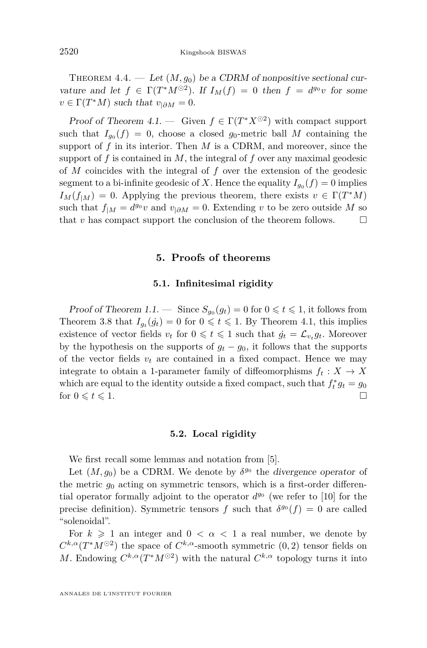THEOREM 4.4. — Let  $(M, g_0)$  be a CDRM of nonpositive sectional curvature and let  $f \in \Gamma(T^*M^{\odot 2})$ . If  $I_M(f) = 0$  then  $f = d^{g_0}v$  for some  $v \in \Gamma(T^*M)$  such that  $v_{|\partial M} = 0$ .

Proof of Theorem [4.1.](#page-13-0) — Given  $f \in \Gamma(T^*X^{\odot 2})$  with compact support such that  $I_{g_0}(f) = 0$ , choose a closed  $g_0$ -metric ball M containing the support of  $f$  in its interior. Then  $M$  is a CDRM, and moreover, since the support of *f* is contained in *M*, the integral of *f* over any maximal geodesic of *M* coincides with the integral of *f* over the extension of the geodesic segment to a bi-infinite geodesic of *X*. Hence the equality  $I_{g_0}(f) = 0$  implies  $I_M(f_{|M}) = 0$ . Applying the previous theorem, there exists  $v \in \Gamma(T^*M)$ such that  $f_{|M} = d^{g_0}v$  and  $v_{|\partial M} = 0$ . Extending *v* to be zero outside *M* so that  $v$  has compact support the conclusion of the theorem follows.  $\Box$ 

#### **5. Proofs of theorems**

#### **5.1. Infinitesimal rigidity**

<span id="page-14-0"></span>Proof of Theorem [1.1.](#page-3-0) — Since  $S_{g_0}(g_t) = 0$  for  $0 \leq t \leq 1$ , it follows from Theorem [3.8](#page-11-0) that  $I_{g_t}(g_t) = 0$  for  $0 \leq t \leq 1$ . By Theorem [4.1,](#page-13-0) this implies existence of vector fields  $v_t$  for  $0 \leq t \leq 1$  such that  $\dot{g}_t = \mathcal{L}_{v_t} g_t$ . Moreover by the hypothesis on the supports of  $g_t - g_0$ , it follows that the supports of the vector fields  $v_t$  are contained in a fixed compact. Hence we may integrate to obtain a 1-parameter family of diffeomorphisms  $f_t: X \to X$ which are equal to the identity outside a fixed compact, such that  $f_t^* g_t = g_0$ for  $0 \leqslant t \leqslant 1$ .

#### **5.2. Local rigidity**

We first recall some lemmas and notation from [\[5\]](#page-17-5).

Let  $(M, g_0)$  be a CDRM. We denote by  $\delta^{g_0}$  the divergence operator of the metric  $g_0$  acting on symmetric tensors, which is a first-order differential operator formally adjoint to the operator  $d^{g_0}$  (we refer to [\[10\]](#page-17-7) for the precise definition). Symmetric tensors *f* such that  $\delta^{g_0}(f) = 0$  are called "solenoidal".

For  $k \geq 1$  an integer and  $0 < \alpha < 1$  a real number, we denote by  $C^{k,\alpha}(T^*M^{\odot 2})$  the space of  $C^{k,\alpha}$ -smooth symmetric  $(0, 2)$  tensor fields on *M*. Endowing  $C^{k,\alpha}(T^*M^{\odot 2})$  with the natural  $C^{k,\alpha}$  topology turns it into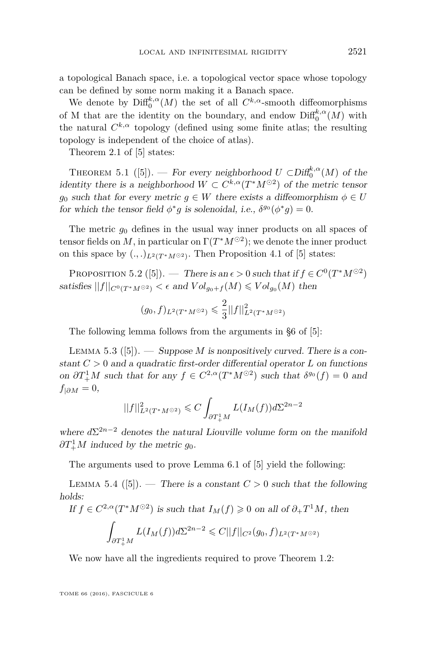a topological Banach space, i.e. a topological vector space whose topology can be defined by some norm making it a Banach space.

We denote by  $\text{Diff}_{0}^{k,\alpha}(M)$  the set of all  $C^{k,\alpha}$ -smooth diffeomorphisms of M that are the identity on the boundary, and endow  $\text{Diff}^{k,\alpha}_0(M)$  with the natural  $C^{k,\alpha}$  topology (defined using some finite atlas; the resulting topology is independent of the choice of atlas).

Theorem 2.1 of [\[5\]](#page-17-5) states:

<span id="page-15-0"></span>THEOREM 5.1 ([\[5\]](#page-17-5)). — For every neighborhood  $U \subset \text{Diff}^{k,\alpha}_{0}(M)$  of the identity there is a neighborhood  $W \subset C^{k,\alpha}(T^*M^{\odot 2})$  of the metric tensor *g*<sub>0</sub> such that for every metric  $g \in W$  there exists a diffeomorphism  $\phi \in U$ for which the tensor field  $\phi^*g$  is solenoidal, i.e.,  $\delta^{g_0}(\phi^*g) = 0$ .

The metric  $g_0$  defines in the usual way inner products on all spaces of tensor fields on M, in particular on  $\Gamma(T^*M^{\odot 2})$ ; we denote the inner product on this space by  $(.,.)_{L^2(T^*M^{\odot 2})}$ . Then Proposition 4.1 of [\[5\]](#page-17-5) states:

<span id="page-15-1"></span>PROPOSITION 5.2 ([\[5\]](#page-17-5)). — There is an  $\epsilon > 0$  such that if  $f \in C^0(T^*M^{\odot 2})$ satisfies  $||f||_{C^0(T^*M^{\odot 2})} < \epsilon$  and  $Vol_{g_0+f}(M) \leqslant Vol_{g_0}(M)$  then

$$
(g_0, f)_{L^2(T^*M^{\odot 2})} \leq \frac{2}{3} ||f||^2_{L^2(T^*M^{\odot 2})}
$$

The following lemma follows from the arguments in §6 of [\[5\]](#page-17-5):

<span id="page-15-2"></span>Lemma 5.3 ([\[5\]](#page-17-5)). — Suppose *M* is nonpositively curved. There is a constant  $C > 0$  and a quadratic first-order differential operator  $L$  on functions on  $\partial T_+^1 M$  such that for any  $f \in C^{2,\alpha}(T^*M^{\odot 2})$  such that  $\delta^{g_0}(f) = 0$  and  $f_{|\partial M} = 0$ ,

$$
||f||_{L^2(T^*M^{\odot 2})}^2 \leqslant C \int_{\partial T^1_+M} L(I_M(f)) d\Sigma^{2n-2}
$$

where  $d\Sigma^{2n-2}$  denotes the natural Liouville volume form on the manifold  $\partial T_+^1M$  induced by the metric  $g_0$ .

The arguments used to prove Lemma 6.1 of [\[5\]](#page-17-5) yield the following:

<span id="page-15-3"></span>LEMMA 5.4 ([\[5\]](#page-17-5)). — There is a constant  $C > 0$  such that the following holds:

If  $f \in C^{2,\alpha}(T^*M^{\odot 2})$  is such that  $I_M(f) \geq 0$  on all of  $\partial_+ T^1M$ , then

$$
\int_{\partial T_+^1 M} L(I_M(f)) d\Sigma^{2n-2} \leq C ||f||_{C^2}(g_0, f)_{L^2(T^*M^{\odot 2})}
$$

We now have all the ingredients required to prove Theorem [1.2:](#page-4-0)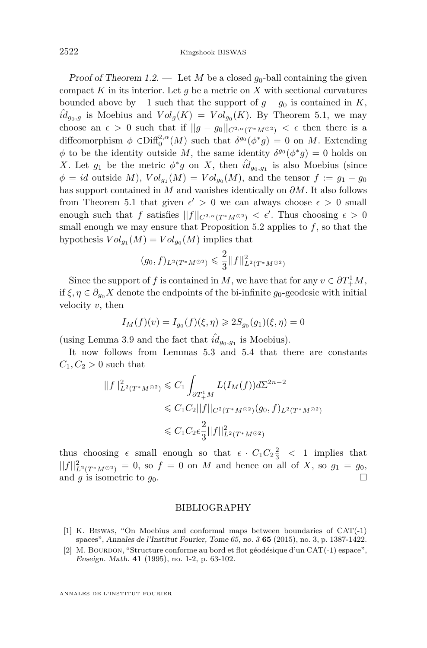Proof of Theorem [1.2.](#page-4-0) — Let M be a closed  $q_0$ -ball containing the given compact *K* in its interior. Let *g* be a metric on *X* with sectional curvatures bounded above by  $-1$  such that the support of  $q - q_0$  is contained in *K*,  $\hat{i}d_{g_0,g}$  is Moebius and  $Vol_g(K) = Vol_{g_0}(K)$ . By Theorem [5.1,](#page-15-0) we may choose an  $\epsilon > 0$  such that if  $||g - g_0||_{C^{2,\alpha}(T^*M^{\odot 2})} < \epsilon$  then there is a diffeomorphism  $\phi \in \text{Diff}_{0}^{2,\alpha}(M)$  such that  $\delta^{g_0}(\phi^*g) = 0$  on *M*. Extending *φ* to be the identity outside *M*, the same identity  $δ<sup>g</sup> (φ<sup>*</sup>g) = 0$  holds on *X*. Let  $g_1$  be the metric  $\phi^* g$  on *X*, then  $\hat{id}_{g_0,g_1}$  is also Moebius (since  $\phi = id$  outside *M*),  $Vol_{g_1}(M) = Vol_{g_0}(M)$ , and the tensor  $f := g_1 - g_0$ has support contained in *M* and vanishes identically on *∂M*. It also follows from Theorem [5.1](#page-15-0) that given  $\epsilon' > 0$  we can always choose  $\epsilon > 0$  small enough such that *f* satisfies  $||f||_{C^{2,\alpha}(T^*M^{\odot 2})} < \epsilon'$ . Thus choosing  $\epsilon > 0$ small enough we may ensure that Proposition [5.2](#page-15-1) applies to *f*, so that the hypothesis  $Vol_{g_1}(M) = Vol_{g_0}(M)$  implies that

$$
(g_0, f)_{L^2(T^*M^{\odot 2})} \leqslant \frac{2}{3} ||f||^2_{L^2(T^*M^{\odot 2})}
$$

Since the support of *f* is contained in *M*, we have that for any  $v \in \partial T^1_+ M$ , if  $\xi, \eta \in \partial_{q_0} X$  denote the endpoints of the bi-infinite  $g_0$ -geodesic with initial velocity *v*, then

$$
I_M(f)(v) = I_{g_0}(f)(\xi, \eta) \geqslant 2S_{g_0}(g_1)(\xi, \eta) = 0
$$

(using Lemma [3.9](#page-12-1) and the fact that  $\hat{i}d_{g_0,g_1}$  is Moebius).

It now follows from Lemmas [5.3](#page-15-2) and [5.4](#page-15-3) that there are constants  $C_1, C_2 > 0$  such that

$$
||f||_{L^{2}(T^{*}M^{\odot 2})}^{2} \leq C_{1} \int_{\partial T_{+}^{1}M} L(I_{M}(f)) d\Sigma^{2n-2}
$$
  

$$
\leq C_{1} C_{2} ||f||_{C^{2}(T^{*}M^{\odot 2})}(g_{0}, f)_{L^{2}(T^{*}M^{\odot 2})}
$$
  

$$
\leq C_{1} C_{2} \epsilon_{3}^{2} ||f||_{L^{2}(T^{*}M^{\odot 2})}^{2}
$$

thus choosing  $\epsilon$  small enough so that  $\epsilon \cdot C_1 C_2 \frac{2}{3} < 1$  implies that  $||f||_{L^2(T^*M^{\odot 2})}^2 = 0$ , so  $f = 0$  on *M* and hence on all of *X*, so  $g_1 = g_0$ , and *g* is isometric to *g*0.

#### BIBLIOGRAPHY

- <span id="page-16-0"></span>[1] K. Biswas, "On Moebius and conformal maps between boundaries of CAT(-1) spaces", Annales de l'Institut Fourier, Tome 65, no. 3 **65** (2015), no. 3, p. 1387-1422.
- <span id="page-16-1"></span>[2] M. BOURDON, "Structure conforme au bord et flot géodésique d'un  $CAT(-1)$  espace", Enseign. Math. **41** (1995), no. 1-2, p. 63-102.